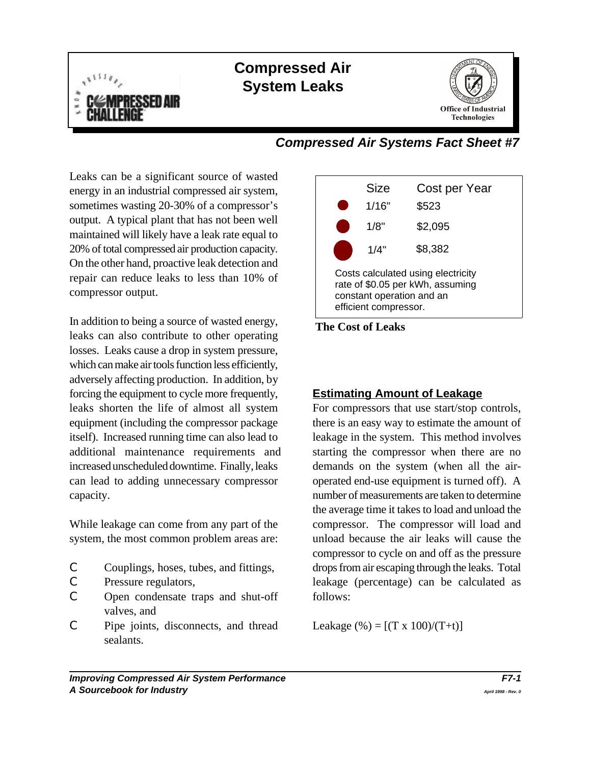

# **Compressed Air System Leaks**



## *Compressed Air Systems Fact Sheet #7*

Leaks can be a significant source of wasted energy in an industrial compressed air system, sometimes wasting 20-30% of a compressor's output. A typical plant that has not been well maintained will likely have a leak rate equal to 20% of total compressed air production capacity. On the other hand, proactive leak detection and repair can reduce leaks to less than 10% of compressor output.

In addition to being a source of wasted energy, leaks can also contribute to other operating losses. Leaks cause a drop in system pressure, which can make air tools function less efficiently, adversely affecting production. In addition, by forcing the equipment to cycle more frequently, **Estimating Amount of Leakage** leaks shorten the life of almost all system For compressors that use start/stop controls, equipment (including the compressor package there is an easy way to estimate the amount of itself). Increased running time can also lead to leakage in the system. This method involves additional maintenance requirements and starting the compressor when there are no increased unscheduled downtime. Finally, leaks demands on the system (when all the aircan lead to adding unnecessary compressor operated end-use equipment is turned off). A capacity. number of measurements are taken to determine

While leakage can come from any part of the compressor. The compressor will load and system, the most common problem areas are: unload because the air leaks will cause the

- 
- 
- C Open condensate traps and shut-off follows: valves, and
- C Pipe joints, disconnects, and thread Leakage  $%$  =  $[(T \times 100)/(T+t)]$ sealants.





C Couplings, hoses, tubes, and fittings, drops from air escaping through the leaks. Total C Pressure regulators, leakage (percentage) can be calculated as the average time it takes to load and unload the compressor to cycle on and off as the pressure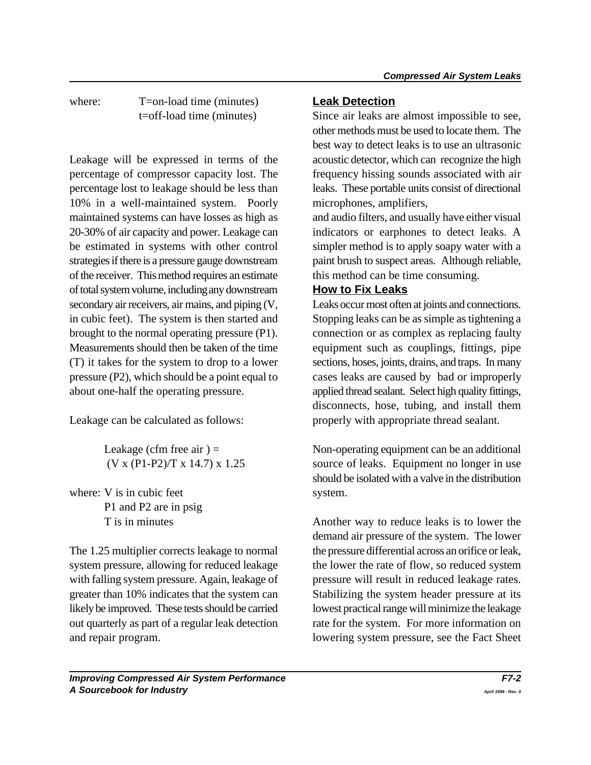where: T=on-load time (minutes) **Leak Detection** 

Leakage will be expressed in terms of the acoustic detector, which can recognize the high percentage of compressor capacity lost. The frequency hissing sounds associated with air percentage lost to leakage should be less than leaks. These portable units consist of directional 10% in a well-maintained system. Poorly microphones, amplifiers, maintained systems can have losses as high as and audio filters, and usually have either visual 20-30% of air capacity and power. Leakage can indicators or earphones to detect leaks. A be estimated in systems with other control simpler method is to apply soapy water with a strategies if there is a pressure gauge downstream paint brush to suspect areas. Although reliable, of the receiver. This method requires an estimate this method can be time consuming. of total system volume, including any downstream **How to Fix Leaks** secondary air receivers, air mains, and piping  $(V,$  Leaks occur most often at joints and connections. in cubic feet). The system is then started and Stopping leaks can be as simple as tightening a brought to the normal operating pressure (P1). connection or as complex as replacing faulty Measurements should then be taken of the time equipment such as couplings, fittings, pipe (T) it takes for the system to drop to a lower sections, hoses, joints, drains, and traps. In many pressure (P2), which should be a point equal to cases leaks are caused by bad or improperly about one-half the operating pressure.  $applied$  thread sealant. Select high quality fittings,

where: V is in cubic feet system. P1 and P2 are in psig

The 1.25 multiplier corrects leakage to normal the pressure differential across an orifice or leak, system pressure, allowing for reduced leakage the lower the rate of flow, so reduced system with falling system pressure. Again, leakage of pressure will result in reduced leakage rates. greater than 10% indicates that the system can Stabilizing the system header pressure at its likely be improved. These tests should be carried lowest practical range will minimize the leakage out quarterly as part of a regular leak detection rate for the system. For more information on and repair program. lowering system pressure, see the Fact Sheet

t=off-load time (minutes) Since air leaks are almost impossible to see, other methods must be used to locate them. The best way to detect leaks is to use an ultrasonic

Leakage can be calculated as follows: properly with appropriate thread sealant. disconnects, hose, tubing, and install them

Leakage (cfm free air  $) =$  Non-operating equipment can be an additional  $(V \times (P1-P2)/T \times 14.7) \times 1.25$  source of leaks. Equipment no longer in use should be isolated with a valve in the distribution

T is in minutes Another way to reduce leaks is to lower the demand air pressure of the system. The lower